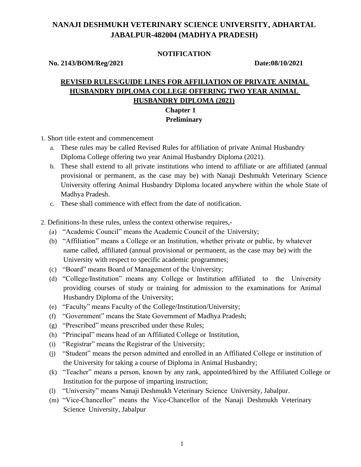# **NANAJI DESHMUKH VETERINARY SCIENCE UNIVERSITY, ADHARTAL JABALPUR-482004 (MADHYA PRADESH)**

#### **NOTIFICATION**

**No. 2143/BOM/Reg/2021 Date:08/10/2021**

## **REVISED RULES/GUIDE LINES FOR AFFILIATION OF PRIVATE ANIMAL HUSBANDRY DIPLOMA COLLEGE OFFERING TWO YEAR ANIMAL HUSBANDRY DIPLOMA (2021) Chapter 1 Preliminary**

- 1. Short title extent and commencement
	- a. These rules may be called Revised Rules for affiliation of private Animal Husbandry Diploma College offering two year Animal Husbandry Diploma (2021).
	- b. These shall extend to all private institutions who intend to affiliate or are affiliated (annual provisional or permanent, as the case may be) with Nanaji Deshmukh Veterinary Science University offering Animal Husbandry Diploma located anywhere within the whole State of Madhya Pradesh.
	- c. These shall commence with effect from the date of notification.
- 2. Definitions-In these rules, unless the context otherwise requires,-
	- (a) "Academic Council" means the Academic Council of the University;
	- (b) "Affiliation" means a College or an Institution, whether private or public, by whatever name called, affiliated (annual provisional or permanent, as the case may be) with the University with respect to specific academic programmes;
	- (c) "Board" means Board of Management of the University;
	- (d) "College/Institution" means any College or Institution affiliated to the University providing courses of study or training for admission to the examinations for Animal Husbandry Diploma of the University;
	- (e) "Faculty" means Faculty of the College/Institution/University;
	- (f) "Government" means the State Government of Madhya Pradesh;
	- (g) "Prescribed" means prescribed under these Rules;
	- (h) "Principal" means head of an Affiliated College or Institution,
	- (i) "Registrar" means the Registrar of the University;
	- (j) "Student" means the person admitted and enrolled in an Affiliated College or institution of the University for taking a course of Diploma in Animal Husbandry;
	- (k) "Teacher" means a person, known by any rank, appointed/hired by the Affiliated College or Institution for the purpose of imparting instruction;
	- (l) "University" means Nanaji Deshmukh Veterinary Science University, Jabalpur.
	- (m) "Vice-Chancellor" means the Vice-Chancellor of the Nanaji Deshmukh Veterinary Science University, Jabalpur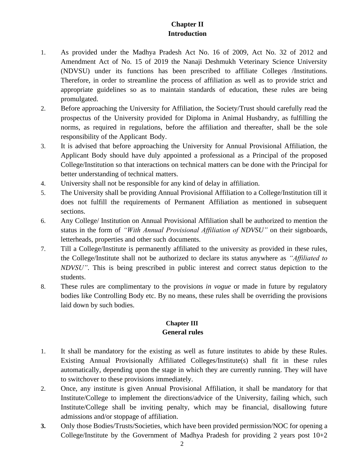# **Chapter II Introduction**

- 1. As provided under the Madhya Pradesh Act No. 16 of 2009, Act No. 32 of 2012 and Amendment Act of No. 15 of 2019 the Nanaji Deshmukh Veterinary Science University (NDVSU) under its functions has been prescribed to affiliate Colleges /Institutions. Therefore, in order to streamline the process of affiliation as well as to provide strict and appropriate guidelines so as to maintain standards of education, these rules are being promulgated.
- 2. Before approaching the University for Affiliation, the Society/Trust should carefully read the prospectus of the University provided for Diploma in Animal Husbandry, as fulfilling the norms, as required in regulations, before the affiliation and thereafter, shall be the sole responsibility of the Applicant Body.
- 3. It is advised that before approaching the University for Annual Provisional Affiliation, the Applicant Body should have duly appointed a professional as a Principal of the proposed College/Institution so that interactions on technical matters can be done with the Principal for better understanding of technical matters.
- 4. University shall not be responsible for any kind of delay in affiliation.
- 5. The University shall be providing Annual Provisional Affiliation to a College/Institution till it does not fulfill the requirements of Permanent Affiliation as mentioned in subsequent sections.
- 6. Any College/ Institution on Annual Provisional Affiliation shall be authorized to mention the status in the form of *"With Annual Provisional Affiliation of NDVSU"* on their signboards, letterheads, properties and other such documents.
- 7. Till a College/Institute is permanently affiliated to the university as provided in these rules, the College/Institute shall not be authorized to declare its status anywhere as *"Affiliated to NDVSU"*. This is being prescribed in public interest and correct status depiction to the students.
- 8. These rules are complimentary to the provisions *in vogue* or made in future by regulatory bodies like Controlling Body etc. By no means, these rules shall be overriding the provisions laid down by such bodies.

#### **Chapter III General rules**

- 1. It shall be mandatory for the existing as well as future institutes to abide by these Rules. Existing Annual Provisionally Affiliated Colleges/Institute(s) shall fit in these rules automatically, depending upon the stage in which they are currently running. They will have to switchover to these provisions immediately.
- 2. Once, any institute is given Annual Provisional Affiliation, it shall be mandatory for that Institute/College to implement the directions/advice of the University, failing which, such Institute/College shall be inviting penalty, which may be financial, disallowing future admissions and/or stoppage of affiliation.
- **3.** Only those Bodies/Trusts/Societies, which have been provided permission/NOC for opening a College/Institute by the Government of Madhya Pradesh for providing 2 years post  $10+2$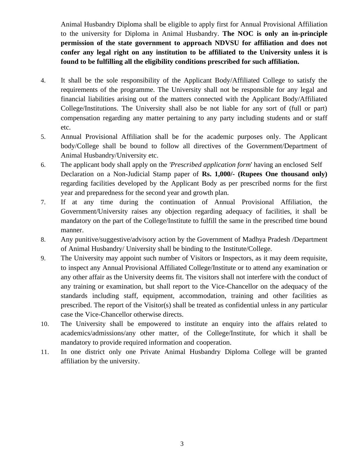Animal Husbandry Diploma shall be eligible to apply first for Annual Provisional Affiliation to the university for Diploma in Animal Husbandry. **The NOC is only an in-principle permission of the state government to approach NDVSU for affiliation and does not confer any legal right on any institution to be affiliated to the University unless it is found to be fulfilling all the eligibility conditions prescribed for such affiliation.**

- 4. It shall be the sole responsibility of the Applicant Body/Affiliated College to satisfy the requirements of the programme. The University shall not be responsible for any legal and financial liabilities arising out of the matters connected with the Applicant Body/Affiliated College/Institutions. The University shall also be not liable for any sort of (full or part) compensation regarding any matter pertaining to any party including students and or staff etc.
- 5. Annual Provisional Affiliation shall be for the academic purposes only. The Applicant body/College shall be bound to follow all directives of the Government/Department of Animal Husbandry/University etc.
- 6. The applicant body shall apply on the *'Prescribed application form*' having an enclosed Self Declaration on a Non-Judicial Stamp paper of **Rs. 1,000/- (Rupees One thousand only)**  regarding facilities developed by the Applicant Body as per prescribed norms for the first year and preparedness for the second year and growth plan.
- 7. If at any time during the continuation of Annual Provisional Affiliation, the Government/University raises any objection regarding adequacy of facilities, it shall be mandatory on the part of the College/Institute to fulfill the same in the prescribed time bound manner.
- 8. Any punitive/suggestive/advisory action by the Government of Madhya Pradesh /Department of Animal Husbandry/ University shall be binding to the Institute/College.
- 9. The University may appoint such number of Visitors or Inspectors, as it may deem requisite, to inspect any Annual Provisional Affiliated College/Institute or to attend any examination or any other affair as the University deems fit. The visitors shall not interfere with the conduct of any training or examination, but shall report to the Vice-Chancellor on the adequacy of the standards including staff, equipment, accommodation, training and other facilities as prescribed. The report of the Visitor(s) shall be treated as confidential unless in any particular case the Vice-Chancellor otherwise directs.
- 10. The University shall be empowered to institute an enquiry into the affairs related to academics/admissions/any other matter, of the College/Institute, for which it shall be mandatory to provide required information and cooperation.
- 11. In one district only one Private Animal Husbandry Diploma College will be granted affiliation by the university.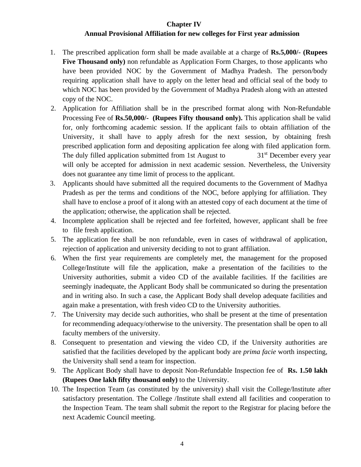#### **Chapter IV**

### **Annual Provisional Affiliation for new colleges for First year admission**

- 1. The prescribed application form shall be made available at a charge of **Rs.5,000/- (Rupees Five Thousand only)** non refundable as Application Form Charges, to those applicants who have been provided NOC by the Government of Madhya Pradesh. The person/body requiring application shall have to apply on the letter head and official seal of the body to which NOC has been provided by the Government of Madhya Pradesh along with an attested copy of the NOC.
- 2. Application for Affiliation shall be in the prescribed format along with Non-Refundable Processing Fee of **Rs.50,000/- (Rupees Fifty thousand only).** This application shall be valid for, only forthcoming academic session. If the applicant fails to obtain affiliation of the University, it shall have to apply afresh for the next session, by obtaining fresh prescribed application form and depositing application fee along with filed application form. The duly filled application submitted from 1st August to  $31<sup>st</sup>$  December every year will only be accepted for admission in next academic session. Nevertheless, the University does not guarantee any time limit of process to the applicant.
- 3. Applicants should have submitted all the required documents to the Government of Madhya Pradesh as per the terms and conditions of the NOC, before applying for affiliation. They shall have to enclose a proof of it along with an attested copy of each document at the time of the application; otherwise, the application shall be rejected.
- 4. Incomplete application shall be rejected and fee forfeited, however, applicant shall be free to file fresh application.
- 5. The application fee shall be non refundable, even in cases of withdrawal of application, rejection of application and university deciding to not to grant affiliation.
- 6. When the first year requirements are completely met, the management for the proposed College/Institute will file the application, make a presentation of the facilities to the University authorities, submit a video CD of the available facilities. If the facilities are seemingly inadequate, the Applicant Body shall be communicated so during the presentation and in writing also. In such a case, the Applicant Body shall develop adequate facilities and again make a presentation, with fresh video CD to the University authorities.
- 7. The University may decide such authorities, who shall be present at the time of presentation for recommending adequacy/otherwise to the university. The presentation shall be open to all faculty members of the university.
- 8. Consequent to presentation and viewing the video CD, if the University authorities are satisfied that the facilities developed by the applicant body are *prima facie* worth inspecting, the University shall send a team for inspection.
- 9. The Applicant Body shall have to deposit Non-Refundable Inspection fee of **Rs. 1.50 lakh (Rupees One lakh fifty thousand only)** to the University.
- 10. The Inspection Team (as constituted by the university) shall visit the College/Institute after satisfactory presentation. The College /Institute shall extend all facilities and cooperation to the Inspection Team. The team shall submit the report to the Registrar for placing before the next Academic Council meeting.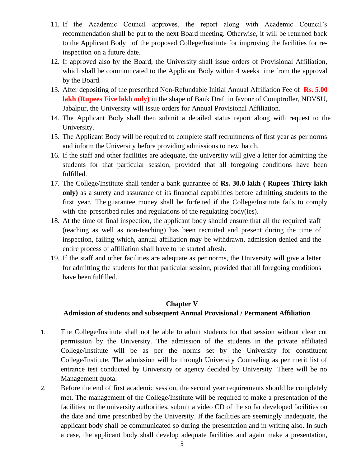- 11. If the Academic Council approves, the report along with Academic Council's recommendation shall be put to the next Board meeting. Otherwise, it will be returned back to the Applicant Body of the proposed College/Institute for improving the facilities for reinspection on a future date.
- 12. If approved also by the Board, the University shall issue orders of Provisional Affiliation, which shall be communicated to the Applicant Body within 4 weeks time from the approval by the Board.
- 13. After depositing of the prescribed Non-Refundable Initial Annual Affiliation Fee of **Rs. 5.00 lakh (Rupees Five lakh only)** in the shape of Bank Draft in favour of Comptroller, NDVSU, Jabalpur, the University will issue orders for Annual Provisional Affiliation.
- 14. The Applicant Body shall then submit a detailed status report along with request to the University.
- 15. The Applicant Body will be required to complete staff recruitments of first year as per norms and inform the University before providing admissions to new batch.
- 16. If the staff and other facilities are adequate, the university will give a letter for admitting the students for that particular session, provided that all foregoing conditions have been fulfilled.
- 17. The College/Institute shall tender a bank guarantee of **Rs. 30.0 lakh ( Rupees Thirty lakh only)** as a surety and assurance of its financial capabilities before admitting students to the first year. The guarantee money shall be forfeited if the College/Institute fails to comply with the prescribed rules and regulations of the regulating body(ies).
- 18. At the time of final inspection, the applicant body should ensure that all the required staff (teaching as well as non-teaching) has been recruited and present during the time of inspection, failing which, annual affiliation may be withdrawn, admission denied and the entire process of affiliation shall have to be started afresh.
- 19. If the staff and other facilities are adequate as per norms, the University will give a letter for admitting the students for that particular session, provided that all foregoing conditions have been fulfilled.

### **Chapter V**

#### **Admission of students and subsequent Annual Provisional / Permanent Affiliation**

- 1. The College/Institute shall not be able to admit students for that session without clear cut permission by the University. The admission of the students in the private affiliated College/Institute will be as per the norms set by the University for constituent College/Institute. The admission will be through University Counseling as per merit list of entrance test conducted by University or agency decided by University. There will be no Management quota.
- 2. Before the end of first academic session, the second year requirements should be completely met. The management of the College/Institute will be required to make a presentation of the facilities to the university authorities, submit a video CD of the so far developed facilities on the date and time prescribed by the University. If the facilities are seemingly inadequate, the applicant body shall be communicated so during the presentation and in writing also. In such a case, the applicant body shall develop adequate facilities and again make a presentation,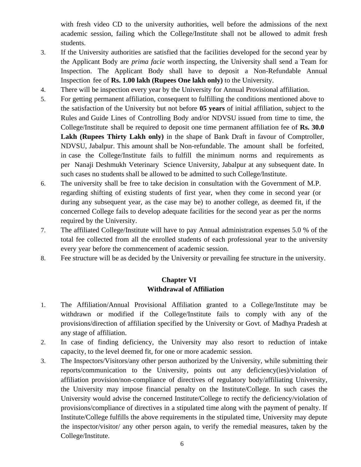with fresh video CD to the university authorities, well before the admissions of the next academic session, failing which the College/Institute shall not be allowed to admit fresh students.

- 3. If the University authorities are satisfied that the facilities developed for the second year by the Applicant Body are *prima facie* worth inspecting, the University shall send a Team for Inspection. The Applicant Body shall have to deposit a Non-Refundable Annual Inspection fee of **Rs. 1.00 lakh (Rupees One lakh only)** to the University.
- 4. There will be inspection every year by the University for Annual Provisional affiliation.
- 5. For getting permanent affiliation, consequent to fulfilling the conditions mentioned above to the satisfaction of the University but not before **05 years** of initial affiliation, subject to the Rules and Guide Lines of Controlling Body and/or NDVSU issued from time to time, the College/Institute shall be required to deposit one time permanent affiliation fee of **Rs. 30.0 Lakh (Rupees Thirty Lakh only)** in the shape of Bank Draft in favour of Comptroller, NDVSU, Jabalpur. This amount shall be Non-refundable. The amount shall be forfeited, in case the College/Institute fails to fulfill the minimum norms and requirements as per Nanaji Deshmukh Veterinary Science University, Jabalpur at any subsequent date. In such cases no students shall be allowed to be admitted to such College/Institute.
- 6. The university shall be free to take decision in consultation with the Government of M.P. regarding shifting of existing students of first year, when they come in second year (or during any subsequent year, as the case may be) to another college, as deemed fit, if the concerned College fails to develop adequate facilities for the second year as per the norms required by the University.
- 7. The affiliated College/Institute will have to pay Annual administration expenses 5.0 % of the total fee collected from all the enrolled students of each professional year to the university every year before the commencement of academic session.
- 8. Fee structure will be as decided by the University or prevailing fee structure in the university.

## **Chapter VI Withdrawal of Affiliation**

- 1. The Affiliation/Annual Provisional Affiliation granted to a College/Institute may be withdrawn or modified if the College/Institute fails to comply with any of the provisions/direction of affiliation specified by the University or Govt. of Madhya Pradesh at any stage of affiliation.
- 2. In case of finding deficiency, the University may also resort to reduction of intake capacity, to the level deemed fit, for one or more academic session.
- 3. The Inspectors/Visitors/any other person authorized by the University, while submitting their reports/communication to the University, points out any deficiency(ies)/violation of affiliation provision/non-compliance of directives of regulatory body/affiliating University, the University may impose financial penalty on the Institute/College. In such cases the University would advise the concerned Institute/College to rectify the deficiency/violation of provisions/compliance of directives in a stipulated time along with the payment of penalty. If Institute/College fulfills the above requirements in the stipulated time, University may depute the inspector/visitor/ any other person again, to verify the remedial measures, taken by the College/Institute.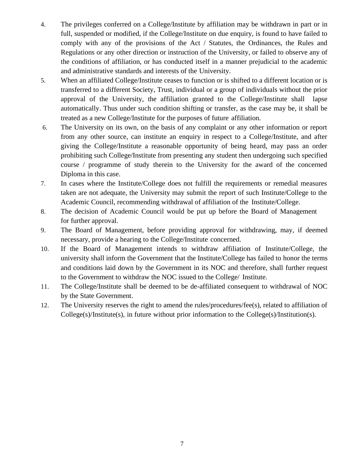- 4. The privileges conferred on a College/Institute by affiliation may be withdrawn in part or in full, suspended or modified, if the College/Institute on due enquiry, is found to have failed to comply with any of the provisions of the Act / Statutes, the Ordinances, the Rules and Regulations or any other direction or instruction of the University, or failed to observe any of the conditions of affiliation, or has conducted itself in a manner prejudicial to the academic and administrative standards and interests of the University.
- 5. When an affiliated College/Institute ceases to function or is shifted to a different location or is transferred to a different Society, Trust, individual or a group of individuals without the prior approval of the University, the affiliation granted to the College/Institute shall lapse automatically. Thus under such condition shifting or transfer, as the case may be, it shall be treated as a new College/Institute for the purposes of future affiliation.
- 6. The University on its own, on the basis of any complaint or any other information or report from any other source, can institute an enquiry in respect to a College/Institute, and after giving the College/Institute a reasonable opportunity of being heard, may pass an order prohibiting such College/Institute from presenting any student then undergoing such specified course / programme of study therein to the University for the award of the concerned Diploma in this case.
- 7. In cases where the Institute/College does not fulfill the requirements or remedial measures taken are not adequate, the University may submit the report of such Institute/College to the Academic Council, recommending withdrawal of affiliation of the Institute/College.
- 8. The decision of Academic Council would be put up before the Board of Management for further approval.
- 9. The Board of Management, before providing approval for withdrawing, may, if deemed necessary, provide a hearing to the College/Institute concerned.
- 10. If the Board of Management intends to withdraw affiliation of Institute/College, the university shall inform the Government that the Institute/College has failed to honor the terms and conditions laid down by the Government in its NOC and therefore, shall further request to the Government to withdraw the NOC issued to the College/ Institute.
- 11. The College/Institute shall be deemed to be de-affiliated consequent to withdrawal of NOC by the State Government.
- 12. The University reserves the right to amend the rules/procedures/fee(s), related to affiliation of College(s)/Institute(s), in future without prior information to the College(s)/Institution(s).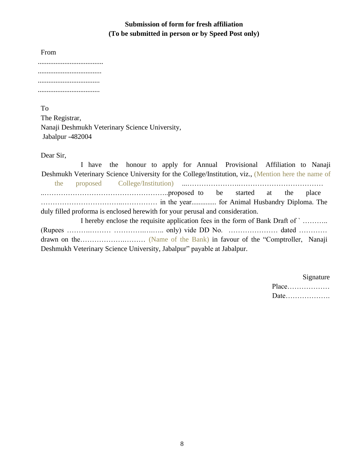## **Submission of form for fresh affiliation (To be submitted in person or by Speed Post only)**

From

To

The Registrar, Nanaji Deshmukh Veterinary Science University, Jabalpur -482004

Dear Sir,

I have the honour to apply for Annual Provisional Affiliation to Nanaji Deshmukh Veterinary Science University for the College/Institution, viz., (Mention here the name of the proposed College/Institution) ...………………….……………………………… ..……………………………………………..proposed to be started at the place ……………………………..…………… in the year.............. for Animal Husbandry Diploma. The duly filled proforma is enclosed herewith for your perusal and consideration. I hereby enclose the requisite application fees in the form of Bank Draft of ` ……….. (Rupees ……….……… ………….….….. only) vide DD No. ………………… dated ………… drawn on the……………….……… (Name of the Bank) in favour of the "Comptroller, Nanaji Deshmukh Veterinary Science University, Jabalpur" payable at Jabalpur.

> Signature Place………………

Date……………….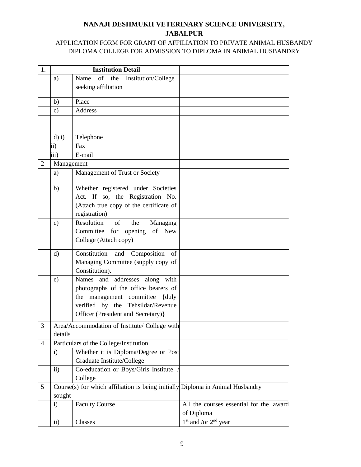# **NANAJI DESHMUKH VETERINARY SCIENCE UNIVERSITY, JABALPUR**

## APPLICATION FORM FOR GRANT OF AFFILIATION TO PRIVATE ANIMAL HUSBANDY DIPLOMA COLLEGE FOR ADMISSION TO DIPLOMA IN ANIMAL HUSBANDRY

| 1.             |               | <b>Institution Detail</b>                                                      |                                         |
|----------------|---------------|--------------------------------------------------------------------------------|-----------------------------------------|
|                | a)            | of the<br>Name<br>Institution/College                                          |                                         |
|                |               | seeking affiliation                                                            |                                         |
|                |               |                                                                                |                                         |
|                | b)            | Place                                                                          |                                         |
|                | c)            | Address                                                                        |                                         |
|                |               |                                                                                |                                         |
|                |               |                                                                                |                                         |
|                | $d$ ) i)      | Telephone                                                                      |                                         |
|                | ii)           | Fax                                                                            |                                         |
|                | iii)          | E-mail                                                                         |                                         |
| $\overline{2}$ | Management    |                                                                                |                                         |
|                | a)            | Management of Trust or Society                                                 |                                         |
|                | b)            | Whether registered under Societies                                             |                                         |
|                |               | Act. If so, the Registration No.                                               |                                         |
|                |               | (Attach true copy of the certificate of                                        |                                         |
|                |               | registration)                                                                  |                                         |
|                | $\mathbf{c})$ | Resolution<br>of<br>the<br>Managing                                            |                                         |
|                |               | Committee for opening<br>of New                                                |                                         |
|                |               | College (Attach copy)                                                          |                                         |
|                |               |                                                                                |                                         |
|                | $\mathbf{d}$  | Constitution and Composition of                                                |                                         |
|                |               | Managing Committee (supply copy of                                             |                                         |
|                |               | Constitution).                                                                 |                                         |
|                | e)            | Names and addresses along with                                                 |                                         |
|                |               | photographs of the office bearers of                                           |                                         |
|                |               | the management committee {duly                                                 |                                         |
|                |               | verified by the Tehsildar/Revenue                                              |                                         |
|                |               | Officer (President and Secretary)}                                             |                                         |
| 3              |               | Area/Accommodation of Institute/ College with                                  |                                         |
|                | details       |                                                                                |                                         |
| 4              |               | Particulars of the College/Institution                                         |                                         |
|                | $\mathbf{i}$  | Whether it is Diploma/Degree or Post                                           |                                         |
|                |               | Graduate Institute/College                                                     |                                         |
|                | $\mathbf{ii}$ | Co-education or Boys/Girls Institute                                           |                                         |
|                |               | College                                                                        |                                         |
| 5              |               | Course(s) for which affiliation is being initially Diploma in Animal Husbandry |                                         |
|                | sought        |                                                                                |                                         |
|                | $\mathbf{i}$  | <b>Faculty Course</b>                                                          | All the courses essential for the award |
|                |               |                                                                                | of Diploma                              |
|                | $\mathbf{ii}$ | Classes                                                                        | $1st$ and /or $2nd$ year                |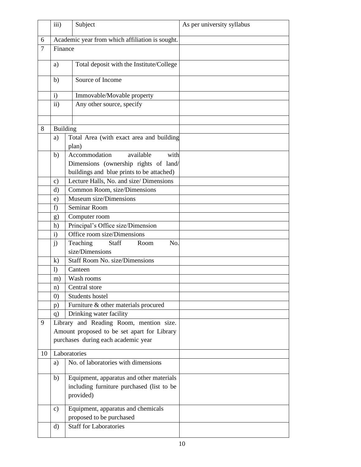|    | iii)              | Subject                                                                                            | As per university syllabus |
|----|-------------------|----------------------------------------------------------------------------------------------------|----------------------------|
| 6  |                   | Academic year from which affiliation is sought.                                                    |                            |
| 7  | Finance           |                                                                                                    |                            |
|    | a)                | Total deposit with the Institute/College                                                           |                            |
|    | b)                | Source of Income                                                                                   |                            |
|    | $\mathbf{i}$      | Immovable/Movable property                                                                         |                            |
|    | $\mathbf{ii}$     | Any other source, specify                                                                          |                            |
|    |                   |                                                                                                    |                            |
| 8  | <b>Building</b>   |                                                                                                    |                            |
|    | a)                | Total Area (with exact area and building                                                           |                            |
|    | b)                | plan)<br>Accommodation<br>available<br>with                                                        |                            |
|    |                   | Dimensions (ownership rights of land/                                                              |                            |
|    |                   | buildings and blue prints to be attached)                                                          |                            |
|    | $\mathbf{c})$     | Lecture Halls, No. and size/ Dimensions                                                            |                            |
|    | d)                | Common Room, size/Dimensions                                                                       |                            |
|    | e)                | Museum size/Dimensions                                                                             |                            |
|    | f)                | Seminar Room                                                                                       |                            |
|    | g)                | Computer room                                                                                      |                            |
|    | h)                | Principal's Office size/Dimension                                                                  |                            |
|    | i)                | Office room size/Dimensions                                                                        |                            |
|    | j)                | Teaching<br>Staff<br>Room<br>No.                                                                   |                            |
|    |                   | size/Dimensions                                                                                    |                            |
|    | $\bf k)$          | Staff Room No. size/Dimensions                                                                     |                            |
|    | $\left  \right)$  | Canteen                                                                                            |                            |
|    | m)                | Wash rooms                                                                                         |                            |
|    | n)                | Central store                                                                                      |                            |
|    | $\left( 0\right)$ | Students hostel                                                                                    |                            |
|    | p)                | Furniture & other materials procured                                                               |                            |
|    | q)                | Drinking water facility                                                                            |                            |
| 9  |                   | Library and Reading Room, mention size.                                                            |                            |
|    |                   | Amount proposed to be set apart for Library                                                        |                            |
|    |                   | purchases during each academic year                                                                |                            |
| 10 |                   | Laboratories                                                                                       |                            |
|    | a)                | No. of laboratories with dimensions                                                                |                            |
|    | b)                | Equipment, apparatus and other materials<br>including furniture purchased (list to be<br>provided) |                            |
|    | c)                | Equipment, apparatus and chemicals<br>proposed to be purchased                                     |                            |
|    | $\rm d)$          | <b>Staff for Laboratories</b>                                                                      |                            |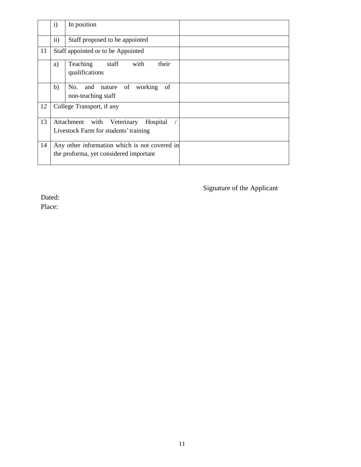|    | $\mathbf{i}$ | In position                                                                             |  |
|----|--------------|-----------------------------------------------------------------------------------------|--|
|    | ii)          | Staff proposed to be appointed                                                          |  |
| 11 |              | Staff appointed or to be Appointed                                                      |  |
|    | a)           | with<br>their<br>Teaching<br>staff<br>qualifications                                    |  |
|    | b)           | No.<br>working<br>and nature of<br>of<br>non-teaching staff                             |  |
| 12 |              | College Transport, if any                                                               |  |
| 13 |              | Attachment with<br>Hospital<br>Veterinary<br>Livestock Farm for students' training      |  |
| 14 |              | Any other information which is not covered in<br>the proforma, yet considered important |  |

Signature of the Applicant

Dated:

Place: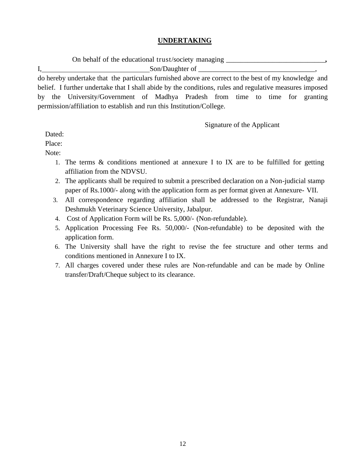### **UNDERTAKING**

On behalf of the educational trust/society managing \_\_\_\_\_\_\_\_\_\_\_\_\_\_\_\_\_\_\_\_\_\_\_\_\_\_\_\_**,**

I, Son/Daughter of do hereby undertake that the particulars furnished above are correct to the best of my knowledge and

belief. I further undertake that I shall abide by the conditions, rules and regulative measures imposed by the University/Government of Madhya Pradesh from time to time for granting permission/affiliation to establish and run this Institution/College.

Signature of the Applicant

Dated:

Place:

Note:

- 1. The terms & conditions mentioned at annexure I to IX are to be fulfilled for getting affiliation from the NDVSU.
- 2. The applicants shall be required to submit a prescribed declaration on a Non-judicial stamp paper of Rs.1000/- along with the application form as per format given at Annexure- VII.
- 3. All correspondence regarding affiliation shall be addressed to the Registrar, Nanaji Deshmukh Veterinary Science University, Jabalpur.
- 4. Cost of Application Form will be Rs. 5,000/- (Non-refundable).
- 5. Application Processing Fee Rs. 50,000/- (Non-refundable) to be deposited with the application form.
- 6. The University shall have the right to revise the fee structure and other terms and conditions mentioned in Annexure I to IX.
- 7. All charges covered under these rules are Non-refundable and can be made by Online transfer/Draft/Cheque subject to its clearance.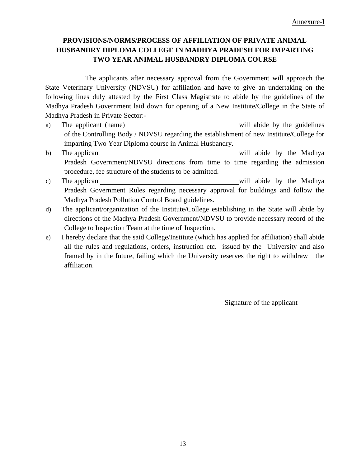## **PROVISIONS/NORMS/PROCESS OF AFFILIATION OF PRIVATE ANIMAL HUSBANDRY DIPLOMA COLLEGE IN MADHYA PRADESH FOR IMPARTING TWO YEAR ANIMAL HUSBANDRY DIPLOMA COURSE**

The applicants after necessary approval from the Government will approach the State Veterinary University (NDVSU) for affiliation and have to give an undertaking on the following lines duly attested by the First Class Magistrate to abide by the guidelines of the Madhya Pradesh Government laid down for opening of a New Institute/College in the State of Madhya Pradesh in Private Sector:-

- a) The applicant (name) will abide by the guidelines of the Controlling Body / NDVSU regarding the establishment of new Institute/College for imparting Two Year Diploma course in Animal Husbandry.
- b) The applicant will abide by the Madhya Pradesh Government/NDVSU directions from time to time regarding the admission procedure, fee structure of the students to be admitted.
- c) The applicant will abide by the Madhya Pradesh Government Rules regarding necessary approval for buildings and follow the Madhya Pradesh Pollution Control Board guidelines.
- d) The applicant/organization of the Institute/College establishing in the State will abide by directions of the Madhya Pradesh Government/NDVSU to provide necessary record of the College to Inspection Team at the time of Inspection.
- e) I hereby declare that the said College/Institute (which has applied for affiliation) shall abide all the rules and regulations, orders, instruction etc. issued by the University and also framed by in the future, failing which the University reserves the right to withdraw the affiliation.

Signature of the applicant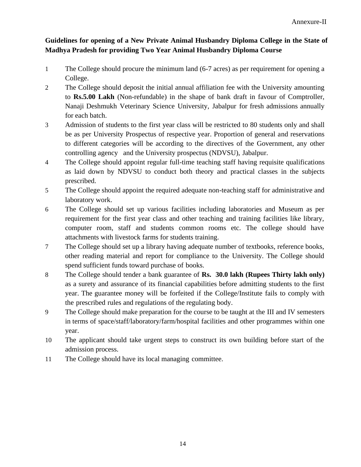## **Guidelines for opening of a New Private Animal Husbandry Diploma College in the State of Madhya Pradesh for providing Two Year Animal Husbandry Diploma Course**

- 1 The College should procure the minimum land (6-7 acres) as per requirement for opening a College.
- 2 The College should deposit the initial annual affiliation fee with the University amounting to **Rs.5.00 Lakh** (Non-refundable) in the shape of bank draft in favour of Comptroller, Nanaji Deshmukh Veterinary Science University, Jabalpur for fresh admissions annually for each batch.
- 3 Admission of students to the first year class will be restricted to 80 students only and shall be as per University Prospectus of respective year. Proportion of general and reservations to different categories will be according to the directives of the Government, any other controlling agency and the University prospectus (NDVSU), Jabalpur.
- 4 The College should appoint regular full-time teaching staff having requisite qualifications as laid down by NDVSU to conduct both theory and practical classes in the subjects prescribed.
- 5 The College should appoint the required adequate non-teaching staff for administrative and laboratory work.
- 6 The College should set up various facilities including laboratories and Museum as per requirement for the first year class and other teaching and training facilities like library, computer room, staff and students common rooms etc. The college should have attachments with livestock farms for students training.
- 7 The College should set up a library having adequate number of textbooks, reference books, other reading material and report for compliance to the University. The College should spend sufficient funds toward purchase of books.
- 8 The College should tender a bank guarantee of **Rs. 30.0 lakh (Rupees Thirty lakh only)** as a surety and assurance of its financial capabilities before admitting students to the first year. The guarantee money will be forfeited if the College/Institute fails to comply with the prescribed rules and regulations of the regulating body.
- 9 The College should make preparation for the course to be taught at the III and IV semesters in terms of space/staff/laboratory/farm/hospital facilities and other programmes within one year.
- 10 The applicant should take urgent steps to construct its own building before start of the admission process.
- 11 The College should have its local managing committee.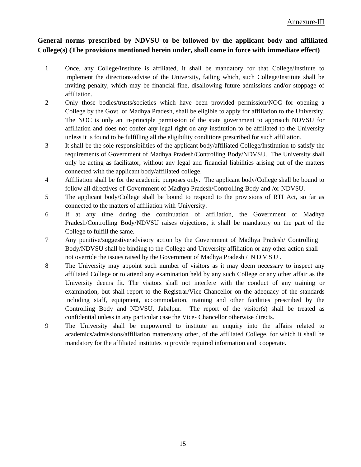### **General norms prescribed by NDVSU to be followed by the applicant body and affiliated College(s) (The provisions mentioned herein under, shall come in force with immediate effect)**

- 1 Once, any College/Institute is affiliated, it shall be mandatory for that College/Institute to implement the directions/advise of the University, failing which, such College/Institute shall be inviting penalty, which may be financial fine, disallowing future admissions and/or stoppage of affiliation.
- 2 Only those bodies/trusts/societies which have been provided permission/NOC for opening a College by the Govt. of Madhya Pradesh, shall be eligible to apply for affiliation to the University. The NOC is only an in-principle permission of the state government to approach NDVSU for affiliation and does not confer any legal right on any institution to be affiliated to the University unless it is found to be fulfilling all the eligibility conditions prescribed for such affiliation.
- 3 It shall be the sole responsibilities of the applicant body/affiliated College/Institution to satisfy the requirements of Government of Madhya Pradesh/Controlling Body/NDVSU. The University shall only be acting as facilitator, without any legal and financial liabilities arising out of the matters connected with the applicant body/affiliated college.
- 4 Affiliation shall be for the academic purposes only. The applicant body/College shall be bound to follow all directives of Government of Madhya Pradesh/Controlling Body and /or NDVSU.
- 5 The applicant body/College shall be bound to respond to the provisions of RTI Act, so far as connected to the matters of affiliation with University.
- 6 If at any time during the continuation of affiliation, the Government of Madhya Pradesh/Controlling Body/NDVSU raises objections, it shall be mandatory on the part of the College to fulfill the same.
- 7 Any punitive/suggestive/advisory action by the Government of Madhya Pradesh/ Controlling Body/NDVSU shall be binding to the College and University affiliation or any other action shall not override the issues raised by the Government of Madhya Pradesh / N D V S U .
- 8 The University may appoint such number of visitors as it may deem necessary to inspect any affiliated College or to attend any examination held by any such College or any other affair as the University deems fit. The visitors shall not interfere with the conduct of any training or examination, but shall report to the Registrar/Vice-Chancellor on the adequacy of the standards including staff, equipment, accommodation, training and other facilities prescribed by the Controlling Body and NDVSU, Jabalpur. The report of the visitor(s) shall be treated as confidential unless in any particular case the Vice- Chancellor otherwise directs.
- 9 The University shall be empowered to institute an enquiry into the affairs related to academics/admissions/affiliation matters/any other, of the affiliated College, for which it shall be mandatory for the affiliated institutes to provide required information and cooperate.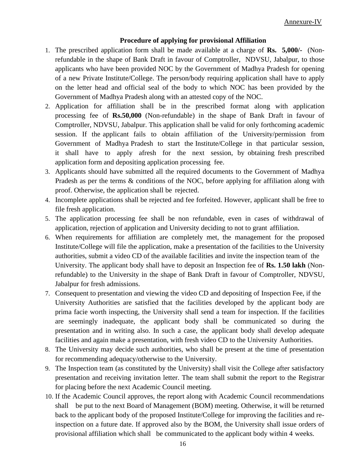#### **Procedure of applying for provisional Affiliation**

- 1. The prescribed application form shall be made available at a charge of **Rs. 5,000/-** (Nonrefundable in the shape of Bank Draft in favour of Comptroller, NDVSU, Jabalpur, to those applicants who have been provided NOC by the Government of Madhya Pradesh for opening of a new Private Institute/College. The person/body requiring application shall have to apply on the letter head and official seal of the body to which NOC has been provided by the Government of Madhya Pradesh along with an attested copy of the NOC.
- 2. Application for affiliation shall be in the prescribed format along with application processing fee of **Rs.50,000** (Non-refundable) in the shape of Bank Draft in favour of Comptroller, NDVSU, Jabalpur. This application shall be valid for only forthcoming academic session. If the applicant fails to obtain affiliation of the University/permission from Government of Madhya Pradesh to start the Institute/College in that particular session, it shall have to apply afresh for the next session, by obtaining fresh prescribed application form and depositing application processing fee.
- 3. Applicants should have submitted all the required documents to the Government of Madhya Pradesh as per the terms & conditions of the NOC, before applying for affiliation along with proof. Otherwise, the application shall be rejected.
- 4. Incomplete applications shall be rejected and fee forfeited. However, applicant shall be free to file fresh application.
- 5. The application processing fee shall be non refundable, even in cases of withdrawal of application, rejection of application and University deciding to not to grant affiliation.
- 6. When requirements for affiliation are completely met, the management for the proposed Institute/College will file the application, make a presentation of the facilities to the University authorities, submit a video CD of the available facilities and invite the inspection team of the University. The applicant body shall have to deposit an Inspection fee of **Rs. 1.50 lakh** (Nonrefundable) to the University in the shape of Bank Draft in favour of Comptroller, NDVSU, Jabalpur for fresh admissions.
- 7. Consequent to presentation and viewing the video CD and depositing of Inspection Fee, if the University Authorities are satisfied that the facilities developed by the applicant body are prima facie worth inspecting, the University shall send a team for inspection. If the facilities are seemingly inadequate, the applicant body shall be communicated so during the presentation and in writing also. In such a case, the applicant body shall develop adequate facilities and again make a presentation, with fresh video CD to the University Authorities.
- 8. The University may decide such authorities, who shall be present at the time of presentation for recommending adequacy/otherwise to the University.
- 9. The Inspection team (as constituted by the University) shall visit the College after satisfactory presentation and receiving invitation letter. The team shall submit the report to the Registrar for placing before the next Academic Council meeting.
- 10. If the Academic Council approves, the report along with Academic Council recommendations shall be put to the next Board of Management (BOM) meeting. Otherwise, it will be returned back to the applicant body of the proposed Institute/College for improving the facilities and reinspection on a future date. If approved also by the BOM, the University shall issue orders of provisional affiliation which shall be communicated to the applicant body within 4 weeks.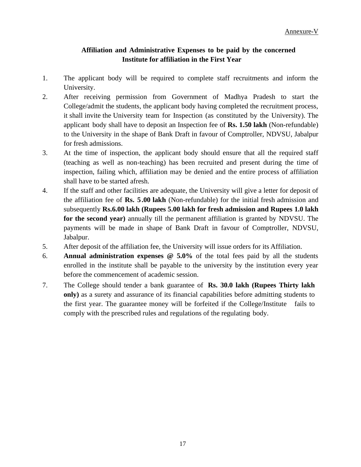### **Affiliation and Administrative Expenses to be paid by the concerned Institute for affiliation in the First Year**

- 1. The applicant body will be required to complete staff recruitments and inform the University.
- 2. After receiving permission from Government of Madhya Pradesh to start the College/admit the students, the applicant body having completed the recruitment process, it shall invite the University team for Inspection (as constituted by the University). The applicant body shall have to deposit an Inspection fee of **Rs. 1.50 lakh** (Non-refundable) to the University in the shape of Bank Draft in favour of Comptroller, NDVSU, Jabalpur for fresh admissions.
- 3. At the time of inspection, the applicant body should ensure that all the required staff (teaching as well as non-teaching) has been recruited and present during the time of inspection, failing which, affiliation may be denied and the entire process of affiliation shall have to be started afresh.
- 4. If the staff and other facilities are adequate, the University will give a letter for deposit of the affiliation fee of **Rs. 5.00 lakh** (Non-refundable) for the initial fresh admission and subsequently **Rs.6.00 lakh (Rupees 5.00 lakh for fresh admission and Rupees 1.0 lakh for the second year)** annually till the permanent affiliation is granted by NDVSU. The payments will be made in shape of Bank Draft in favour of Comptroller, NDVSU, Jabalpur.
- 5. After deposit of the affiliation fee, the University will issue orders for its Affiliation.
- 6. **Annual administration expenses @ 5.0%** of the total fees paid by all the students enrolled in the institute shall be payable to the university by the institution every year before the commencement of academic session.
- 7. The College should tender a bank guarantee of **Rs. 30.0 lakh (Rupees Thirty lakh only)** as a surety and assurance of its financial capabilities before admitting students to the first year. The guarantee money will be forfeited if the College/Institute fails to comply with the prescribed rules and regulations of the regulating body.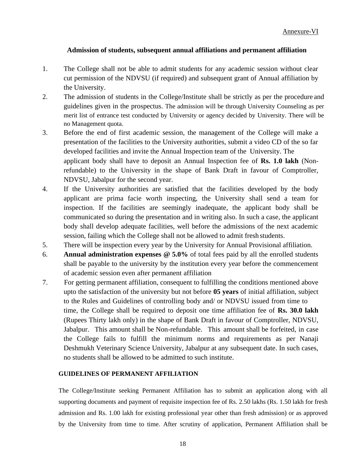#### **Admission of students, subsequent annual affiliations and permanent affiliation**

- 1. The College shall not be able to admit students for any academic session without clear cut permission of the NDVSU (if required) and subsequent grant of Annual affiliation by the University.
- 2. The admission of students in the College/Institute shall be strictly as per the procedure and guidelines given in the prospectus. The admission will be through University Counseling as per merit list of entrance test conducted by University or agency decided by University. There will be no Management quota.
- 3. Before the end of first academic session, the management of the College will make a presentation of the facilities to the University authorities, submit a video CD of the so far developed facilities and invite the Annual Inspection team of the University. The applicant body shall have to deposit an Annual Inspection fee of **Rs. 1.0 lakh** (Nonrefundable) to the University in the shape of Bank Draft in favour of Comptroller, NDVSU, Jabalpur for the second year.
- 4. If the University authorities are satisfied that the facilities developed by the body applicant are prima facie worth inspecting, the University shall send a team for inspection. If the facilities are seemingly inadequate, the applicant body shall be communicated so during the presentation and in writing also. In such a case, the applicant body shall develop adequate facilities, well before the admissions of the next academic session, failing which the College shall not be allowed to admit fresh students.
- 5. There will be inspection every year by the University for Annual Provisional affiliation.
- 6. **Annual administration expenses @ 5.0%** of total fees paid by all the enrolled students shall be payable to the university by the institution every year before the commencement of academic session even after permanent affiliation
- 7. For getting permanent affiliation, consequent to fulfilling the conditions mentioned above upto the satisfaction of the university but not before **05 years** of initial affiliation, subject to the Rules and Guidelines of controlling body and/ or NDVSU issued from time to time, the College shall be required to deposit one time affiliation fee of **Rs. 30.0 lakh** (Rupees Thirty lakh only) in the shape of Bank Draft in favour of Comptroller, NDVSU, Jabalpur. This amount shall be Non-refundable. This amount shall be forfeited, in case the College fails to fulfill the minimum norms and requirements as per Nanaji Deshmukh Veterinary Science University, Jabalpur at any subsequent date. In such cases, no students shall be allowed to be admitted to such institute.

#### **GUIDELINES OF PERMANENT AFFILIATION**

The College/Institute seeking Permanent Affiliation has to submit an application along with all supporting documents and payment of requisite inspection fee of Rs. 2.50 lakhs (Rs. 1.50 lakh for fresh admission and Rs. 1.00 lakh for existing professional year other than fresh admission) or as approved by the University from time to time. After scrutiny of application, Permanent Affiliation shall be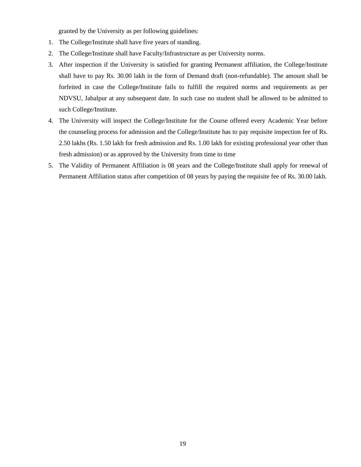granted by the University as per following guidelines:

- 1. The College/Institute shall have five years of standing.
- 2. The College/Institute shall have Faculty/Infrastructure as per University norms.
- 3. After inspection if the University is satisfied for granting Permanent affiliation, the College/Institute shall have to pay Rs. 30.00 lakh in the form of Demand draft (non-refundable). The amount shall be forfeited in case the College/Institute fails to fulfill the required norms and requirements as per NDVSU, Jabalpur at any subsequent date. In such case no student shall be allowed to be admitted to such College/Institute.
- 4. The University will inspect the College/Institute for the Course offered every Academic Year before the counseling process for admission and the College/Institute has to pay requisite inspection fee of Rs. 2.50 lakhs (Rs. 1.50 lakh for fresh admission and Rs. 1.00 lakh for existing professional year other than fresh admission) or as approved by the University from time to time
- 5. The Validity of Permanent Affiliation is 08 years and the College/Institute shall apply for renewal of Permanent Affiliation status after competition of 08 years by paying the requisite fee of Rs. 30.00 lakh.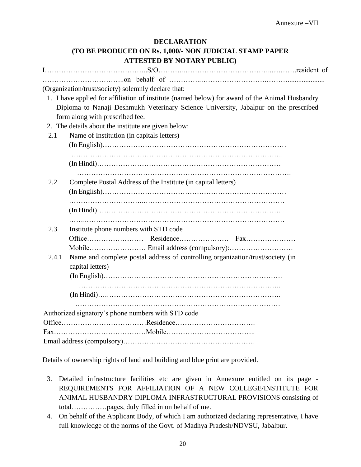### **DECLARATION (TO BE PRODUCED ON Rs. 1,000/- NON JUDICIAL STAMP PAPER ATTESTED BY NOTARY PUBLIC)**

|       | (Organization/trust/society) solemnly declare that:                                            |
|-------|------------------------------------------------------------------------------------------------|
|       | 1. I have applied for affiliation of institute (named below) for award of the Animal Husbandry |
|       | Diploma to Nanaji Deshmukh Veterinary Science University, Jabalpur on the prescribed           |
|       | form along with prescribed fee.                                                                |
|       | 2. The details about the institute are given below:                                            |
| 2.1   | Name of Institution (in capitals letters)                                                      |
|       |                                                                                                |
|       |                                                                                                |
|       |                                                                                                |
|       |                                                                                                |
| 2.2   | Complete Postal Address of the Institute (in capital letters)                                  |
|       |                                                                                                |
|       |                                                                                                |
|       |                                                                                                |
| 2.3   | Institute phone numbers with STD code                                                          |
|       |                                                                                                |
|       |                                                                                                |
| 2.4.1 | Name and complete postal address of controlling organization/trust/society (in                 |
|       | capital letters)                                                                               |
|       |                                                                                                |
|       |                                                                                                |
|       |                                                                                                |
|       |                                                                                                |
|       | Authorized signatory's phone numbers with STD code                                             |
|       |                                                                                                |
|       |                                                                                                |
|       |                                                                                                |

Details of ownership rights of land and building and blue print are provided.

- 3. Detailed infrastructure facilities etc are given in Annexure entitled on its page REQUIREMENTS FOR AFFILIATION OF A NEW COLLEGE/INSTITUTE FOR ANIMAL HUSBANDRY DIPLOMA INFRASTRUCTURAL PROVISIONS consisting of total……………pages, duly filled in on behalf of me.
- 4. On behalf of the Applicant Body, of which I am authorized declaring representative, I have full knowledge of the norms of the Govt. of Madhya Pradesh/NDVSU, Jabalpur.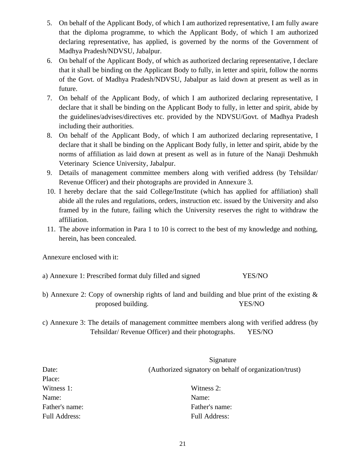- 5. On behalf of the Applicant Body, of which I am authorized representative, I am fully aware that the diploma programme, to which the Applicant Body, of which I am authorized declaring representative, has applied, is governed by the norms of the Government of Madhya Pradesh/NDVSU, Jabalpur.
- 6. On behalf of the Applicant Body, of which as authorized declaring representative, I declare that it shall be binding on the Applicant Body to fully, in letter and spirit, follow the norms of the Govt. of Madhya Pradesh/NDVSU, Jabalpur as laid down at present as well as in future.
- 7. On behalf of the Applicant Body, of which I am authorized declaring representative, I declare that it shall be binding on the Applicant Body to fully, in letter and spirit, abide by the guidelines/advises/directives etc. provided by the NDVSU/Govt. of Madhya Pradesh including their authorities.
- 8. On behalf of the Applicant Body, of which I am authorized declaring representative, I declare that it shall be binding on the Applicant Body fully, in letter and spirit, abide by the norms of affiliation as laid down at present as well as in future of the Nanaji Deshmukh Veterinary Science University, Jabalpur.
- 9. Details of management committee members along with verified address (by Tehsildar/ Revenue Officer) and their photographs are provided in Annexure 3.
- 10. I hereby declare that the said College/Institute (which has applied for affiliation) shall abide all the rules and regulations, orders, instruction etc. issued by the University and also framed by in the future, failing which the University reserves the right to withdraw the affiliation.
- 11. The above information in Para 1 to 10 is correct to the best of my knowledge and nothing, herein, has been concealed.

Annexure enclosed with it:

- a) Annexure 1: Prescribed format duly filled and signed YES/NO
- b) Annexure 2: Copy of ownership rights of land and building and blue print of the existing & proposed building. YES/NO
- c) Annexure 3: The details of management committee members along with verified address (by Tehsildar/ Revenue Officer) and their photographs. YES/NO

|                | Signature                                              |
|----------------|--------------------------------------------------------|
| Date:          | (Authorized signatory on behalf of organization/trust) |
| Place:         |                                                        |
| Witness 1:     | Witness 2:                                             |
| Name:          | Name:                                                  |
| Father's name: | Father's name:                                         |
| Full Address:  | Full Address:                                          |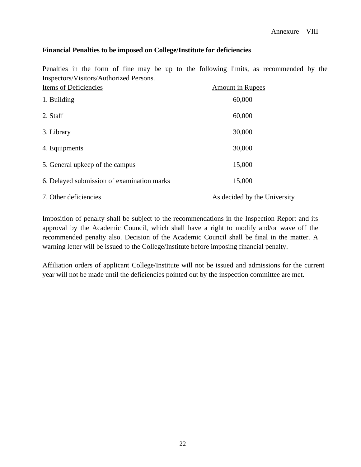#### **Financial Penalties to be imposed on College/Institute for deficiencies**

Penalties in the form of fine may be up to the following limits, as recommended by the Inspectors/Visitors/Authorized Persons.

| Items of Deficiencies                      | <b>Amount in Rupees</b>      |
|--------------------------------------------|------------------------------|
| 1. Building                                | 60,000                       |
| 2. Staff                                   | 60,000                       |
| 3. Library                                 | 30,000                       |
| 4. Equipments                              | 30,000                       |
| 5. General upkeep of the campus            | 15,000                       |
| 6. Delayed submission of examination marks | 15,000                       |
| 7. Other deficiencies                      | As decided by the University |

Imposition of penalty shall be subject to the recommendations in the Inspection Report and its approval by the Academic Council, which shall have a right to modify and/or wave off the recommended penalty also. Decision of the Academic Council shall be final in the matter. A warning letter will be issued to the College/Institute before imposing financial penalty.

Affiliation orders of applicant College/Institute will not be issued and admissions for the current year will not be made until the deficiencies pointed out by the inspection committee are met.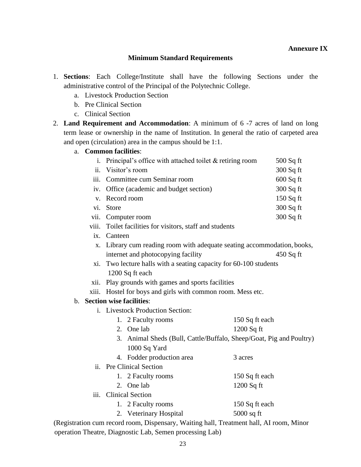#### **Minimum Standard Requirements**

- 1. **Sections**: Each College/Institute shall have the following Sections under the administrative control of the Principal of the Polytechnic College.
	- a. Livestock Production Section
	- b. Pre Clinical Section
	- c. Clinical Section
- 2. **Land Requirement and Accommodation**: A minimum of 6 -7 acres of land on long term lease or ownership in the name of Institution. In general the ratio of carpeted area and open (circulation) area in the campus should be 1:1.

#### a. **Common facilities**:

|             | i. Principal's office with attached toilet $&$ retiring room                     |                | $500$ Sq ft |  |  |
|-------------|----------------------------------------------------------------------------------|----------------|-------------|--|--|
|             | ii. Visitor's room                                                               |                | 300 Sq ft   |  |  |
| iii.        | Committee cum Seminar room                                                       |                | $600$ Sq ft |  |  |
|             | iv. Office (academic and budget section)                                         |                | 300 Sq ft   |  |  |
| $V_{\odot}$ | Record room                                                                      |                | 150 Sq ft   |  |  |
|             | vi. Store                                                                        |                | 300 Sq ft   |  |  |
|             | vii. Computer room                                                               |                | 300 Sq ft   |  |  |
|             | viii. Toilet facilities for visitors, staff and students                         |                |             |  |  |
|             | ix. Canteen                                                                      |                |             |  |  |
|             | x. Library cum reading room with adequate seating accommodation, books,          |                |             |  |  |
|             | internet and photocopying facility                                               |                | 450 Sq ft   |  |  |
|             | xi. Two lecture halls with a seating capacity for 60-100 students                |                |             |  |  |
|             | 1200 Sq ft each                                                                  |                |             |  |  |
|             | xii. Play grounds with games and sports facilities                               |                |             |  |  |
| xiii.       | Hostel for boys and girls with common room. Mess etc.                            |                |             |  |  |
|             | b. Section wise facilities:                                                      |                |             |  |  |
|             | i. Livestock Production Section:                                                 |                |             |  |  |
|             | 1. 2 Faculty rooms                                                               | 150 Sq ft each |             |  |  |
|             | 2. One lab                                                                       | 1200 Sq ft     |             |  |  |
|             | 3. Animal Sheds (Bull, Cattle/Buffalo, Sheep/Goat, Pig and Poultry)              |                |             |  |  |
|             | 1000 Sq Yard                                                                     |                |             |  |  |
|             | 4. Fodder production area                                                        | 3 acres        |             |  |  |
|             | ii. Pre Clinical Section                                                         |                |             |  |  |
|             | 1. 2 Faculty rooms                                                               | 150 Sq ft each |             |  |  |
|             | 2. One lab                                                                       | 1200 Sq ft     |             |  |  |
|             | iii. Clinical Section                                                            |                |             |  |  |
|             | 1. 2 Faculty rooms                                                               | 150 Sq ft each |             |  |  |
|             | 2. Veterinary Hospital                                                           | $5000$ sq ft   |             |  |  |
|             | ration cum record room. Dispensary, Waiting hall. Treatment hall. AI room. Minor |                |             |  |  |

 (Registration cum record room, Dispensary, Waiting hall, Treatment hall, AI room, Minor operation Theatre, Diagnostic Lab, Semen processing Lab)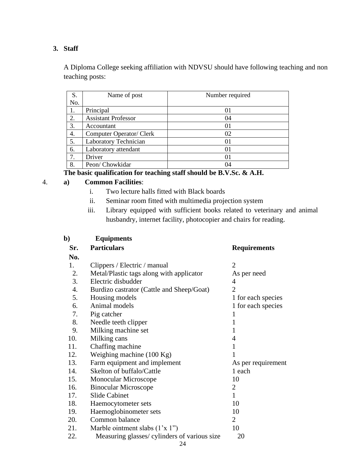### **3. Staff**

A Diploma College seeking affiliation with NDVSU should have following teaching and non teaching posts:

| S.  | Name of post               | Number required |
|-----|----------------------------|-----------------|
| No. |                            |                 |
| 1.  | Principal                  | 01              |
| 2.  | <b>Assistant Professor</b> | 04              |
| 3.  | Accountant                 | $_{01}$         |
| 4.  | Computer Operator/ Clerk   | 02              |
| 5.  | Laboratory Technician      | 01              |
| 6.  | Laboratory attendant       | $_{01}$         |
| 7.  | Driver                     | 01              |
| 8.  | Peon/Chowkidar             | 04              |

**The basic qualification for teaching staff should be B.V.Sc. & A.H.**

### 4. **a) Common Facilities**:

- i. Two lecture halls fitted with Black boards
- ii. Seminar room fitted with multimedia projection system
- iii. Library equipped with sufficient books related to veterinary and animal husbandry, internet facility, photocopier and chairs for reading.

| b)  | <b>Equipments</b>                            |                     |
|-----|----------------------------------------------|---------------------|
| Sr. | <b>Particulars</b>                           | <b>Requirements</b> |
| No. |                                              |                     |
| 1.  | Clippers / Electric / manual                 | $\overline{2}$      |
| 2.  | Metal/Plastic tags along with applicator     | As per need         |
| 3.  | Electric disbudder                           | 4                   |
| 4.  | Burdizo castrator (Cattle and Sheep/Goat)    | $\overline{2}$      |
| 5.  | Housing models                               | 1 for each species  |
| 6.  | Animal models                                | 1 for each species  |
| 7.  | Pig catcher                                  | 1                   |
| 8.  | Needle teeth clipper                         | 1                   |
| 9.  | Milking machine set                          | 1                   |
| 10. | Milking cans                                 | 4                   |
| 11. | Chaffing machine                             | 1                   |
| 12. | Weighing machine $(100 \text{ Kg})$          |                     |
| 13. | Farm equipment and implement                 | As per requirement  |
| 14. | Skelton of buffalo/Cattle                    | 1 each              |
| 15. | <b>Monocular Microscope</b>                  | 10                  |
| 16. | <b>Binocular Microscope</b>                  | 2                   |
| 17. | <b>Slide Cabinet</b>                         | $\mathbf{1}$        |
| 18. | Haemocytometer sets                          | 10                  |
| 19. | Haemoglobinometer sets                       | 10                  |
| 20. | Common balance                               | $\overline{2}$      |
| 21. | Marble ointment slabs $(1'x 1'')$            | 10                  |
| 22. | Measuring glasses/ cylinders of various size | 20                  |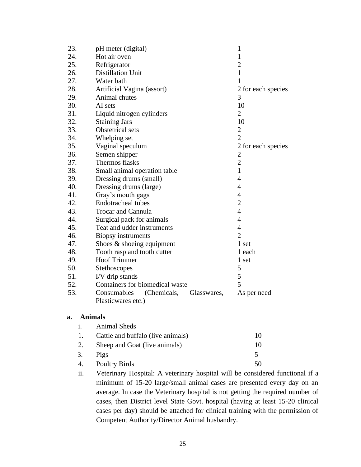| 23. | pH meter (digital)                        | $\mathbf{1}$       |
|-----|-------------------------------------------|--------------------|
| 24. | Hot air oven                              | $\mathbf{1}$       |
| 25. | Refrigerator                              | $\overline{c}$     |
| 26. | <b>Distillation Unit</b>                  | $\mathbf{1}$       |
| 27. | Water bath                                | 1                  |
| 28. | Artificial Vagina (assort)                | 2 for each species |
| 29. | Animal chutes                             | 3                  |
| 30. | AI sets                                   | 10                 |
| 31. | Liquid nitrogen cylinders                 | $\overline{2}$     |
| 32. | <b>Staining Jars</b>                      | 10                 |
| 33. | Obstetrical sets                          | $\overline{c}$     |
| 34. | Whelping set                              | $\overline{2}$     |
| 35. | Vaginal speculum                          | 2 for each species |
| 36. | Semen shipper                             | 2                  |
| 37. | Thermos flasks                            | $\overline{2}$     |
| 38. | Small animal operation table              | $\mathbf{1}$       |
| 39. | Dressing drums (small)                    | $\overline{4}$     |
| 40. | Dressing drums (large)                    | 4                  |
| 41. | Gray's mouth gags                         | $\overline{4}$     |
| 42. | Endotracheal tubes                        | $\overline{2}$     |
| 43. | <b>Trocar and Cannula</b>                 | $\overline{4}$     |
| 44. | Surgical pack for animals                 | $\overline{4}$     |
| 45. | Teat and udder instruments                | $\overline{4}$     |
| 46. | <b>Biopsy</b> instruments                 | $\overline{2}$     |
| 47. | Shoes $&$ shoeing equipment               | 1 set              |
| 48. | Tooth rasp and tooth cutter               | 1 each             |
| 49. | <b>Hoof Trimmer</b>                       | 1 set              |
| 50. | Stethoscopes                              | 5                  |
| 51. | I/V drip stands                           | 5                  |
| 52. | Containers for biomedical waste           | 5                  |
| 53. | Consumables<br>(Chemicals,<br>Glasswares, | As per need        |
|     | Plasticwares etc.)                        |                    |

#### **a. Animals**

| $\mathbf{1}$ . | Animal Sheds                      |    |
|----------------|-----------------------------------|----|
| 1.             | Cattle and buffalo (live animals) | 10 |
| 2.             | Sheep and Goat (live animals)     | 10 |
| 3.             | Pigs                              | 5  |
| 4.             | <b>Poultry Birds</b>              | 50 |

ii. Veterinary Hospital: A veterinary hospital will be considered functional if a minimum of 15-20 large/small animal cases are presented every day on an average. In case the Veterinary hospital is not getting the required number of cases, then District level State Govt. hospital (having at least 15-20 clinical cases per day) should be attached for clinical training with the permission of Competent Authority/Director Animal husbandry.